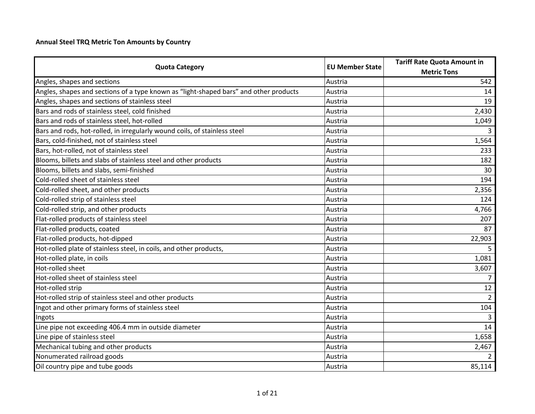## **Annual Steel TRQ Metric Ton Amounts by Country**

|                                                                                       |                        | <b>Tariff Rate Quota Amount in</b> |
|---------------------------------------------------------------------------------------|------------------------|------------------------------------|
| <b>Quota Category</b>                                                                 | <b>EU Member State</b> | <b>Metric Tons</b>                 |
| Angles, shapes and sections                                                           | Austria                | 542                                |
| Angles, shapes and sections of a type known as "light-shaped bars" and other products | Austria                | 14                                 |
| Angles, shapes and sections of stainless steel                                        | Austria                | 19                                 |
| Bars and rods of stainless steel, cold finished                                       | Austria                | 2,430                              |
| Bars and rods of stainless steel, hot-rolled                                          | Austria                | 1,049                              |
| Bars and rods, hot-rolled, in irregularly wound coils, of stainless steel             | Austria                | 3                                  |
| Bars, cold-finished, not of stainless steel                                           | Austria                | 1,564                              |
| Bars, hot-rolled, not of stainless steel                                              | Austria                | 233                                |
| Blooms, billets and slabs of stainless steel and other products                       | Austria                | 182                                |
| Blooms, billets and slabs, semi-finished                                              | Austria                | 30                                 |
| Cold-rolled sheet of stainless steel                                                  | Austria                | 194                                |
| Cold-rolled sheet, and other products                                                 | Austria                | 2,356                              |
| Cold-rolled strip of stainless steel                                                  | Austria                | 124                                |
| Cold-rolled strip, and other products                                                 | Austria                | 4,766                              |
| Flat-rolled products of stainless steel                                               | Austria                | 207                                |
| Flat-rolled products, coated                                                          | Austria                | 87                                 |
| Flat-rolled products, hot-dipped                                                      | Austria                | 22,903                             |
| Hot-rolled plate of stainless steel, in coils, and other products,                    | Austria                | 5                                  |
| Hot-rolled plate, in coils                                                            | Austria                | 1,081                              |
| Hot-rolled sheet                                                                      | Austria                | 3,607                              |
| Hot-rolled sheet of stainless steel                                                   | Austria                | $\overline{7}$                     |
| Hot-rolled strip                                                                      | Austria                | 12                                 |
| Hot-rolled strip of stainless steel and other products                                | Austria                | $\overline{2}$                     |
| Ingot and other primary forms of stainless steel                                      | Austria                | 104                                |
| Ingots                                                                                | Austria                | 3                                  |
| Line pipe not exceeding 406.4 mm in outside diameter                                  | Austria                | 14                                 |
| Line pipe of stainless steel                                                          | Austria                | 1,658                              |
| Mechanical tubing and other products                                                  | Austria                | 2,467                              |
| Nonumerated railroad goods                                                            | Austria                | $\overline{2}$                     |
| Oil country pipe and tube goods                                                       | Austria                | 85,114                             |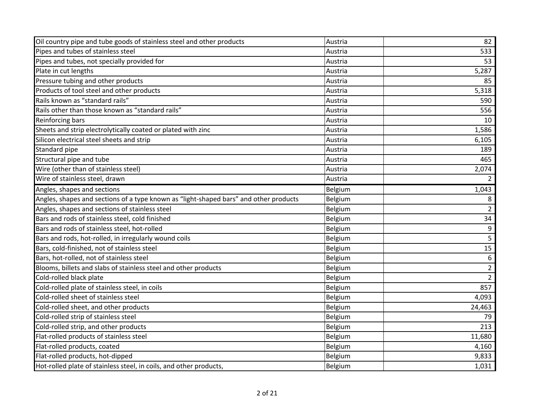| Oil country pipe and tube goods of stainless steel and other products                 | Austria        | 82               |
|---------------------------------------------------------------------------------------|----------------|------------------|
| Pipes and tubes of stainless steel                                                    | Austria        | 533              |
| Pipes and tubes, not specially provided for                                           | Austria        | 53               |
| Plate in cut lengths                                                                  | Austria        | 5,287            |
| Pressure tubing and other products                                                    | Austria        | 85               |
| Products of tool steel and other products                                             | Austria        | 5,318            |
| Rails known as "standard rails"                                                       | Austria        | 590              |
| Rails other than those known as "standard rails"                                      | Austria        | 556              |
| Reinforcing bars                                                                      | Austria        | 10               |
| Sheets and strip electrolytically coated or plated with zinc                          | Austria        | 1,586            |
| Silicon electrical steel sheets and strip                                             | Austria        | 6,105            |
| Standard pipe                                                                         | Austria        | 189              |
| Structural pipe and tube                                                              | Austria        | 465              |
| Wire (other than of stainless steel)                                                  | Austria        | 2,074            |
| Wire of stainless steel, drawn                                                        | Austria        | $\overline{2}$   |
| Angles, shapes and sections                                                           | <b>Belgium</b> | 1,043            |
| Angles, shapes and sections of a type known as "light-shaped bars" and other products | Belgium        | 8                |
| Angles, shapes and sections of stainless steel                                        | Belgium        | $\overline{2}$   |
| Bars and rods of stainless steel, cold finished                                       | Belgium        | 34               |
| Bars and rods of stainless steel, hot-rolled                                          | Belgium        | 9                |
| Bars and rods, hot-rolled, in irregularly wound coils                                 | Belgium        | 5                |
| Bars, cold-finished, not of stainless steel                                           | Belgium        | 15               |
| Bars, hot-rolled, not of stainless steel                                              | Belgium        | $\boldsymbol{6}$ |
| Blooms, billets and slabs of stainless steel and other products                       | Belgium        | $\overline{2}$   |
| Cold-rolled black plate                                                               | Belgium        | $2^{\circ}$      |
| Cold-rolled plate of stainless steel, in coils                                        | Belgium        | 857              |
| Cold-rolled sheet of stainless steel                                                  | Belgium        | 4,093            |
| Cold-rolled sheet, and other products                                                 | Belgium        | 24,463           |
| Cold-rolled strip of stainless steel                                                  | Belgium        | 79               |
| Cold-rolled strip, and other products                                                 | Belgium        | 213              |
| Flat-rolled products of stainless steel                                               | <b>Belgium</b> | 11,680           |
| Flat-rolled products, coated                                                          | Belgium        | 4,160            |
| Flat-rolled products, hot-dipped                                                      | Belgium        | 9,833            |
| Hot-rolled plate of stainless steel, in coils, and other products,                    | Belgium        | 1,031            |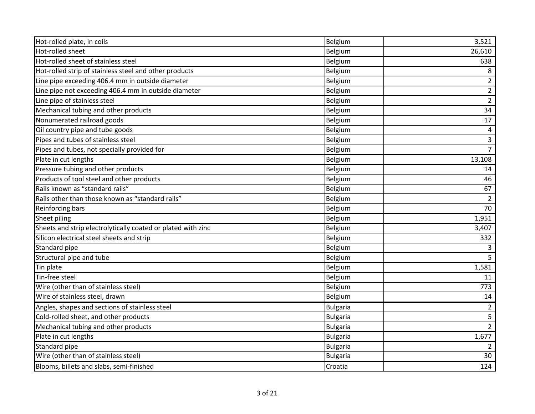| Hot-rolled plate, in coils                                   | Belgium         | 3,521          |
|--------------------------------------------------------------|-----------------|----------------|
| Hot-rolled sheet                                             | Belgium         | 26,610         |
| Hot-rolled sheet of stainless steel                          | Belgium         | 638            |
| Hot-rolled strip of stainless steel and other products       | Belgium         | 8              |
| Line pipe exceeding 406.4 mm in outside diameter             | Belgium         | $\overline{2}$ |
| Line pipe not exceeding 406.4 mm in outside diameter         | Belgium         | $\overline{2}$ |
| Line pipe of stainless steel                                 | Belgium         | $\overline{2}$ |
| Mechanical tubing and other products                         | Belgium         | 34             |
| Nonumerated railroad goods                                   | Belgium         | 17             |
| Oil country pipe and tube goods                              | Belgium         | 4              |
| Pipes and tubes of stainless steel                           | Belgium         | $\mathbf{3}$   |
| Pipes and tubes, not specially provided for                  | Belgium         | $\overline{7}$ |
| Plate in cut lengths                                         | Belgium         | 13,108         |
| Pressure tubing and other products                           | Belgium         | 14             |
| Products of tool steel and other products                    | Belgium         | 46             |
| Rails known as "standard rails"                              | Belgium         | 67             |
| Rails other than those known as "standard rails"             | Belgium         | $\overline{2}$ |
| Reinforcing bars                                             | Belgium         | 70             |
| Sheet piling                                                 | Belgium         | 1,951          |
| Sheets and strip electrolytically coated or plated with zinc | Belgium         | 3,407          |
| Silicon electrical steel sheets and strip                    | Belgium         | 332            |
| Standard pipe                                                | Belgium         | $\overline{3}$ |
| Structural pipe and tube                                     | Belgium         | 5 <sup>5</sup> |
| Tin plate                                                    | Belgium         | 1,581          |
| Tin-free steel                                               | Belgium         | 11             |
| Wire (other than of stainless steel)                         | <b>Belgium</b>  | 773            |
| Wire of stainless steel, drawn                               | Belgium         | 14             |
| Angles, shapes and sections of stainless steel               | <b>Bulgaria</b> | $\overline{2}$ |
| Cold-rolled sheet, and other products                        | <b>Bulgaria</b> | $\overline{5}$ |
| Mechanical tubing and other products                         | <b>Bulgaria</b> | $2^{\circ}$    |
| Plate in cut lengths                                         | <b>Bulgaria</b> | 1,677          |
| Standard pipe                                                | <b>Bulgaria</b> | 2              |
| Wire (other than of stainless steel)                         | <b>Bulgaria</b> | 30             |
| Blooms, billets and slabs, semi-finished                     | Croatia         | 124            |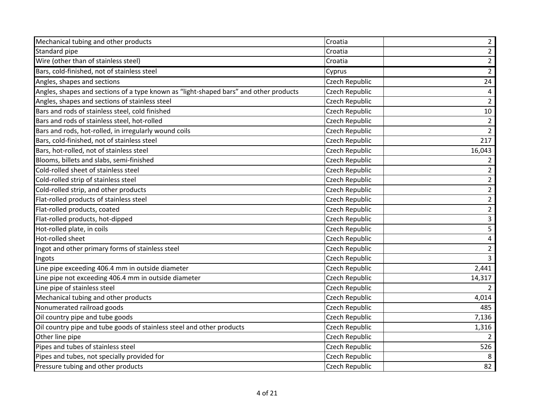| Mechanical tubing and other products                                                  | Croatia               | $\overline{2}$ |
|---------------------------------------------------------------------------------------|-----------------------|----------------|
| Standard pipe                                                                         | Croatia               | $\overline{a}$ |
| Wire (other than of stainless steel)                                                  | Croatia               | $\overline{2}$ |
| Bars, cold-finished, not of stainless steel                                           | Cyprus                | $2^{\circ}$    |
| Angles, shapes and sections                                                           | Czech Republic        | 24             |
| Angles, shapes and sections of a type known as "light-shaped bars" and other products | Czech Republic        | $\overline{4}$ |
| Angles, shapes and sections of stainless steel                                        | Czech Republic        | $\overline{2}$ |
| Bars and rods of stainless steel, cold finished                                       | Czech Republic        | 10             |
| Bars and rods of stainless steel, hot-rolled                                          | Czech Republic        | $\overline{2}$ |
| Bars and rods, hot-rolled, in irregularly wound coils                                 | Czech Republic        | $\overline{2}$ |
| Bars, cold-finished, not of stainless steel                                           | Czech Republic        | 217            |
| Bars, hot-rolled, not of stainless steel                                              | Czech Republic        | 16,043         |
| Blooms, billets and slabs, semi-finished                                              | Czech Republic        | 2              |
| Cold-rolled sheet of stainless steel                                                  | Czech Republic        | $\overline{2}$ |
| Cold-rolled strip of stainless steel                                                  | Czech Republic        | $\overline{2}$ |
| Cold-rolled strip, and other products                                                 | Czech Republic        | $\overline{2}$ |
| Flat-rolled products of stainless steel                                               | Czech Republic        | $\overline{a}$ |
| Flat-rolled products, coated                                                          | Czech Republic        | $\overline{2}$ |
| Flat-rolled products, hot-dipped                                                      | Czech Republic        | 3              |
| Hot-rolled plate, in coils                                                            | <b>Czech Republic</b> | 5              |
| Hot-rolled sheet                                                                      | Czech Republic        | $\pmb{4}$      |
| Ingot and other primary forms of stainless steel                                      | Czech Republic        | $\overline{2}$ |
| Ingots                                                                                | Czech Republic        | $\overline{3}$ |
| Line pipe exceeding 406.4 mm in outside diameter                                      | Czech Republic        | 2,441          |
| Line pipe not exceeding 406.4 mm in outside diameter                                  | Czech Republic        | 14,317         |
| Line pipe of stainless steel                                                          | Czech Republic        | $\overline{2}$ |
| Mechanical tubing and other products                                                  | Czech Republic        | 4,014          |
| Nonumerated railroad goods                                                            | Czech Republic        | 485            |
| Oil country pipe and tube goods                                                       | Czech Republic        | 7,136          |
| Oil country pipe and tube goods of stainless steel and other products                 | Czech Republic        | 1,316          |
| Other line pipe                                                                       | Czech Republic        | 2              |
| Pipes and tubes of stainless steel                                                    | Czech Republic        | 526            |
| Pipes and tubes, not specially provided for                                           | Czech Republic        | 8              |
| Pressure tubing and other products                                                    | <b>Czech Republic</b> | 82             |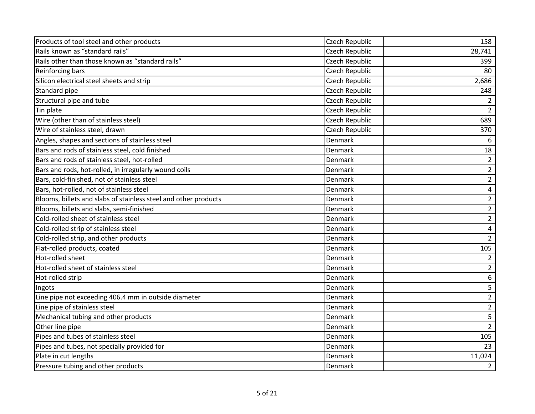| Products of tool steel and other products                       | Czech Republic        | 158            |
|-----------------------------------------------------------------|-----------------------|----------------|
| Rails known as "standard rails"                                 | Czech Republic        | 28,741         |
| Rails other than those known as "standard rails"                | Czech Republic        | 399            |
| Reinforcing bars                                                | Czech Republic        | 80             |
| Silicon electrical steel sheets and strip                       | Czech Republic        | 2,686          |
| Standard pipe                                                   | Czech Republic        | 248            |
| Structural pipe and tube                                        | Czech Republic        | $\overline{2}$ |
| Tin plate                                                       | Czech Republic        | $\overline{2}$ |
| Wire (other than of stainless steel)                            | <b>Czech Republic</b> | 689            |
| Wire of stainless steel, drawn                                  | Czech Republic        | 370            |
| Angles, shapes and sections of stainless steel                  | Denmark               | 6              |
| Bars and rods of stainless steel, cold finished                 | Denmark               | 18             |
| Bars and rods of stainless steel, hot-rolled                    | Denmark               | $\overline{2}$ |
| Bars and rods, hot-rolled, in irregularly wound coils           | Denmark               | $\overline{2}$ |
| Bars, cold-finished, not of stainless steel                     | Denmark               | $\overline{2}$ |
| Bars, hot-rolled, not of stainless steel                        | Denmark               | 4              |
| Blooms, billets and slabs of stainless steel and other products | Denmark               | $\overline{2}$ |
| Blooms, billets and slabs, semi-finished                        | Denmark               | $\overline{2}$ |
| Cold-rolled sheet of stainless steel                            | Denmark               | $\overline{2}$ |
| Cold-rolled strip of stainless steel                            | Denmark               | 4              |
| Cold-rolled strip, and other products                           | Denmark               | $\overline{2}$ |
| Flat-rolled products, coated                                    | Denmark               | 105            |
| Hot-rolled sheet                                                | Denmark               | $\overline{2}$ |
| Hot-rolled sheet of stainless steel                             | Denmark               | $\overline{2}$ |
| Hot-rolled strip                                                | Denmark               | 6              |
| Ingots                                                          | Denmark               | 5              |
| Line pipe not exceeding 406.4 mm in outside diameter            | Denmark               | $\overline{2}$ |
| Line pipe of stainless steel                                    | Denmark               | $\overline{2}$ |
| Mechanical tubing and other products                            | Denmark               | 5              |
| Other line pipe                                                 | Denmark               | $2^{\circ}$    |
| Pipes and tubes of stainless steel                              | Denmark               | 105            |
| Pipes and tubes, not specially provided for                     | Denmark               | 23             |
| Plate in cut lengths                                            | Denmark               | 11,024         |
| Pressure tubing and other products                              | Denmark               | $\overline{2}$ |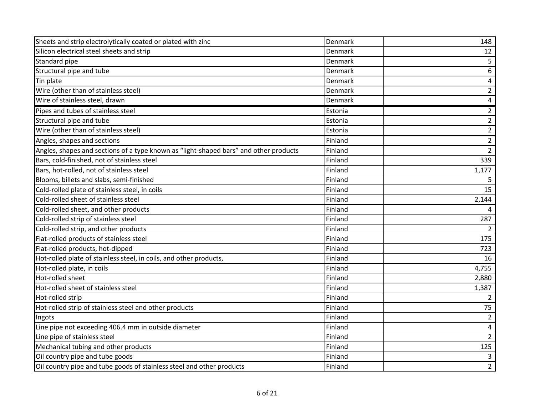| Sheets and strip electrolytically coated or plated with zinc                          | Denmark | 148                     |
|---------------------------------------------------------------------------------------|---------|-------------------------|
| Silicon electrical steel sheets and strip                                             | Denmark | 12                      |
| Standard pipe                                                                         | Denmark | 5                       |
| Structural pipe and tube                                                              | Denmark | 6                       |
| Tin plate                                                                             | Denmark | 4                       |
| Wire (other than of stainless steel)                                                  | Denmark | $\overline{2}$          |
| Wire of stainless steel, drawn                                                        | Denmark | $\overline{\mathbf{4}}$ |
| Pipes and tubes of stainless steel                                                    | Estonia | $\overline{2}$          |
| Structural pipe and tube                                                              | Estonia | $\overline{2}$          |
| Wire (other than of stainless steel)                                                  | Estonia | $\overline{2}$          |
| Angles, shapes and sections                                                           | Finland | $\overline{2}$          |
| Angles, shapes and sections of a type known as "light-shaped bars" and other products | Finland | $\overline{2}$          |
| Bars, cold-finished, not of stainless steel                                           | Finland | 339                     |
| Bars, hot-rolled, not of stainless steel                                              | Finland | 1,177                   |
| Blooms, billets and slabs, semi-finished                                              | Finland | 5                       |
| Cold-rolled plate of stainless steel, in coils                                        | Finland | 15                      |
| Cold-rolled sheet of stainless steel                                                  | Finland | 2,144                   |
| Cold-rolled sheet, and other products                                                 | Finland | 4                       |
| Cold-rolled strip of stainless steel                                                  | Finland | 287                     |
| Cold-rolled strip, and other products                                                 | Finland | $\overline{2}$          |
| Flat-rolled products of stainless steel                                               | Finland | 175                     |
| Flat-rolled products, hot-dipped                                                      | Finland | 723                     |
| Hot-rolled plate of stainless steel, in coils, and other products,                    | Finland | 16                      |
| Hot-rolled plate, in coils                                                            | Finland | 4,755                   |
| Hot-rolled sheet                                                                      | Finland | 2,880                   |
| Hot-rolled sheet of stainless steel                                                   | Finland | 1,387                   |
| Hot-rolled strip                                                                      | Finland | $\overline{2}$          |
| Hot-rolled strip of stainless steel and other products                                | Finland | 75                      |
| Ingots                                                                                | Finland | $\overline{2}$          |
| Line pipe not exceeding 406.4 mm in outside diameter                                  | Finland | 4                       |
| Line pipe of stainless steel                                                          | Finland | $\overline{2}$          |
| Mechanical tubing and other products                                                  | Finland | 125                     |
| Oil country pipe and tube goods                                                       | Finland | $\mathsf{3}$            |
| Oil country pipe and tube goods of stainless steel and other products                 | Finland | $\overline{2}$          |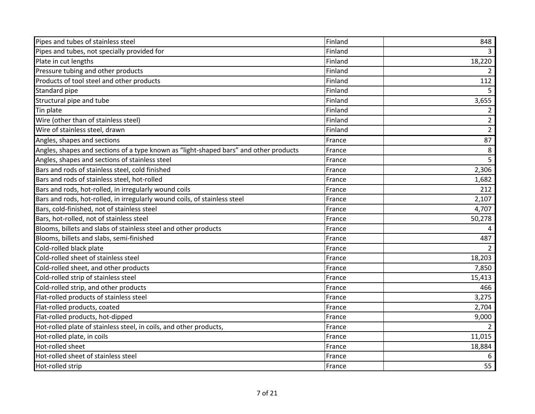| Pipes and tubes of stainless steel                                                    | Finland | 848            |
|---------------------------------------------------------------------------------------|---------|----------------|
| Pipes and tubes, not specially provided for                                           | Finland |                |
| Plate in cut lengths                                                                  | Finland | 18,220         |
| Pressure tubing and other products                                                    | Finland | 2              |
| Products of tool steel and other products                                             | Finland | 112            |
| Standard pipe                                                                         | Finland | 5.             |
| Structural pipe and tube                                                              | Finland | 3,655          |
| Tin plate                                                                             | Finland | $\overline{2}$ |
| Wire (other than of stainless steel)                                                  | Finland | $\overline{2}$ |
| Wire of stainless steel, drawn                                                        | Finland | $\overline{2}$ |
| Angles, shapes and sections                                                           | France  | 87             |
| Angles, shapes and sections of a type known as "light-shaped bars" and other products | France  | 8              |
| Angles, shapes and sections of stainless steel                                        | France  | 5              |
| Bars and rods of stainless steel, cold finished                                       | France  | 2,306          |
| Bars and rods of stainless steel, hot-rolled                                          | France  | 1,682          |
| Bars and rods, hot-rolled, in irregularly wound coils                                 | France  | 212            |
| Bars and rods, hot-rolled, in irregularly wound coils, of stainless steel             | France  | 2,107          |
| Bars, cold-finished, not of stainless steel                                           | France  | 4,707          |
| Bars, hot-rolled, not of stainless steel                                              | France  | 50,278         |
| Blooms, billets and slabs of stainless steel and other products                       | France  |                |
| Blooms, billets and slabs, semi-finished                                              | France  | 487            |
| Cold-rolled black plate                                                               | France  |                |
| Cold-rolled sheet of stainless steel                                                  | France  | 18,203         |
| Cold-rolled sheet, and other products                                                 | France  | 7,850          |
| Cold-rolled strip of stainless steel                                                  | France  | 15,413         |
| Cold-rolled strip, and other products                                                 | France  | 466            |
| Flat-rolled products of stainless steel                                               | France  | 3,275          |
| Flat-rolled products, coated                                                          | France  | 2,704          |
| Flat-rolled products, hot-dipped                                                      | France  | 9,000          |
| Hot-rolled plate of stainless steel, in coils, and other products,                    | France  |                |
| Hot-rolled plate, in coils                                                            | France  | 11,015         |
| Hot-rolled sheet                                                                      | France  | 18,884         |
| Hot-rolled sheet of stainless steel                                                   | France  | 6              |
| Hot-rolled strip                                                                      | France  | 55             |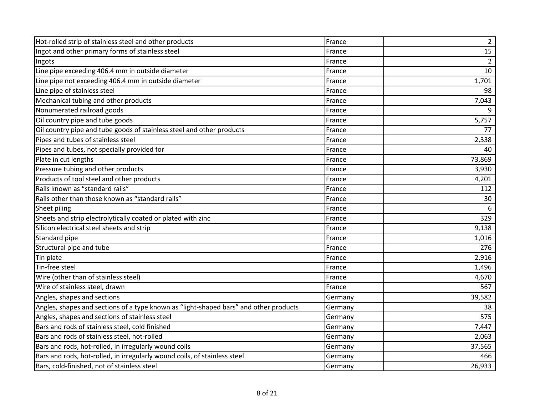| Hot-rolled strip of stainless steel and other products                                | France  | $\overline{2}$ |
|---------------------------------------------------------------------------------------|---------|----------------|
| Ingot and other primary forms of stainless steel                                      | France  | 15             |
| Ingots                                                                                | France  | $\overline{2}$ |
| Line pipe exceeding 406.4 mm in outside diameter                                      | France  | 10             |
| Line pipe not exceeding 406.4 mm in outside diameter                                  | France  | 1,701          |
| Line pipe of stainless steel                                                          | France  | 98             |
| Mechanical tubing and other products                                                  | France  | 7,043          |
| Nonumerated railroad goods                                                            | France  | 9              |
| Oil country pipe and tube goods                                                       | France  | 5,757          |
| Oil country pipe and tube goods of stainless steel and other products                 | France  | 77             |
| Pipes and tubes of stainless steel                                                    | France  | 2,338          |
| Pipes and tubes, not specially provided for                                           | France  | 40             |
| Plate in cut lengths                                                                  | France  | 73,869         |
| Pressure tubing and other products                                                    | France  | 3,930          |
| Products of tool steel and other products                                             | France  | 4,201          |
| Rails known as "standard rails"                                                       | France  | 112            |
| Rails other than those known as "standard rails"                                      | France  | 30             |
| Sheet piling                                                                          | France  | 6              |
| Sheets and strip electrolytically coated or plated with zinc                          | France  | 329            |
| Silicon electrical steel sheets and strip                                             | France  | 9,138          |
| Standard pipe                                                                         | France  | 1,016          |
| Structural pipe and tube                                                              | France  | 276            |
| Tin plate                                                                             | France  | 2,916          |
| Tin-free steel                                                                        | France  | 1,496          |
| Wire (other than of stainless steel)                                                  | France  | 4,670          |
| Wire of stainless steel, drawn                                                        | France  | 567            |
| Angles, shapes and sections                                                           | Germany | 39,582         |
| Angles, shapes and sections of a type known as "light-shaped bars" and other products | Germany | 38             |
| Angles, shapes and sections of stainless steel                                        | Germany | 575            |
| Bars and rods of stainless steel, cold finished                                       | Germany | 7,447          |
| Bars and rods of stainless steel, hot-rolled                                          | Germany | 2,063          |
| Bars and rods, hot-rolled, in irregularly wound coils                                 | Germany | 37,565         |
| Bars and rods, hot-rolled, in irregularly wound coils, of stainless steel             | Germany | 466            |
| Bars, cold-finished, not of stainless steel                                           | Germany | 26,933         |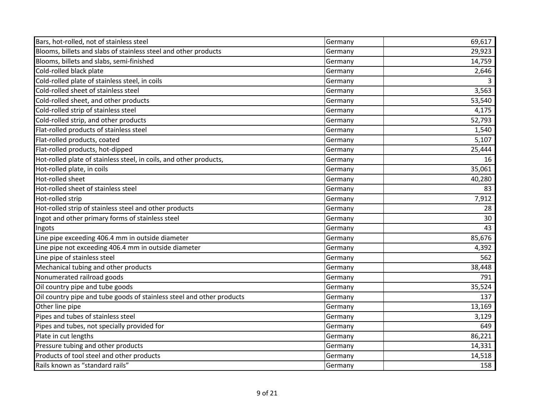| Bars, hot-rolled, not of stainless steel                              | Germany | 69,617 |
|-----------------------------------------------------------------------|---------|--------|
| Blooms, billets and slabs of stainless steel and other products       | Germany | 29,923 |
| Blooms, billets and slabs, semi-finished                              | Germany | 14,759 |
| Cold-rolled black plate                                               | Germany | 2,646  |
| Cold-rolled plate of stainless steel, in coils                        | Germany |        |
| Cold-rolled sheet of stainless steel                                  | Germany | 3,563  |
| Cold-rolled sheet, and other products                                 | Germany | 53,540 |
| Cold-rolled strip of stainless steel                                  | Germany | 4,175  |
| Cold-rolled strip, and other products                                 | Germany | 52,793 |
| Flat-rolled products of stainless steel                               | Germany | 1,540  |
| Flat-rolled products, coated                                          | Germany | 5,107  |
| Flat-rolled products, hot-dipped                                      | Germany | 25,444 |
| Hot-rolled plate of stainless steel, in coils, and other products,    | Germany | 16     |
| Hot-rolled plate, in coils                                            | Germany | 35,061 |
| Hot-rolled sheet                                                      | Germany | 40,280 |
| Hot-rolled sheet of stainless steel                                   | Germany | 83     |
| Hot-rolled strip                                                      | Germany | 7,912  |
| Hot-rolled strip of stainless steel and other products                | Germany | 28     |
| Ingot and other primary forms of stainless steel                      | Germany | 30     |
| Ingots                                                                | Germany | 43     |
| Line pipe exceeding 406.4 mm in outside diameter                      | Germany | 85,676 |
| Line pipe not exceeding 406.4 mm in outside diameter                  | Germany | 4,392  |
| Line pipe of stainless steel                                          | Germany | 562    |
| Mechanical tubing and other products                                  | Germany | 38,448 |
| Nonumerated railroad goods                                            | Germany | 791    |
| Oil country pipe and tube goods                                       | Germany | 35,524 |
| Oil country pipe and tube goods of stainless steel and other products | Germany | 137    |
| Other line pipe                                                       | Germany | 13,169 |
| Pipes and tubes of stainless steel                                    | Germany | 3,129  |
| Pipes and tubes, not specially provided for                           | Germany | 649    |
| Plate in cut lengths                                                  | Germany | 86,221 |
| Pressure tubing and other products                                    | Germany | 14,331 |
| Products of tool steel and other products                             | Germany | 14,518 |
| Rails known as "standard rails"                                       | Germany | 158    |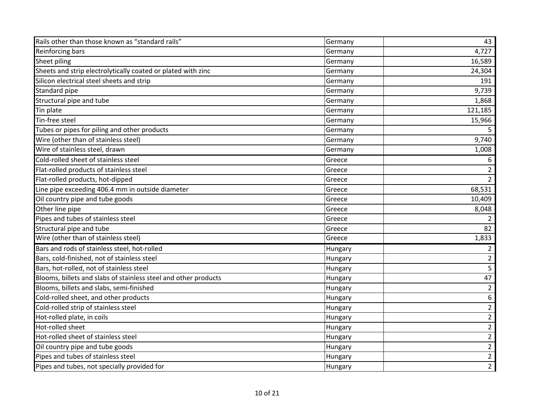| Rails other than those known as "standard rails"                | Germany | 43             |
|-----------------------------------------------------------------|---------|----------------|
| <b>Reinforcing bars</b>                                         | Germany | 4,727          |
| Sheet piling                                                    | Germany | 16,589         |
| Sheets and strip electrolytically coated or plated with zinc    | Germany | 24,304         |
| Silicon electrical steel sheets and strip                       | Germany | 191            |
| Standard pipe                                                   | Germany | 9,739          |
| Structural pipe and tube                                        | Germany | 1,868          |
| Tin plate                                                       | Germany | 121,185        |
| Tin-free steel                                                  | Germany | 15,966         |
| Tubes or pipes for piling and other products                    | Germany | 5.             |
| Wire (other than of stainless steel)                            | Germany | 9,740          |
| Wire of stainless steel, drawn                                  | Germany | 1,008          |
| Cold-rolled sheet of stainless steel                            | Greece  | 6              |
| Flat-rolled products of stainless steel                         | Greece  | $\overline{2}$ |
| Flat-rolled products, hot-dipped                                | Greece  | $\overline{2}$ |
| Line pipe exceeding 406.4 mm in outside diameter                | Greece  | 68,531         |
| Oil country pipe and tube goods                                 | Greece  | 10,409         |
| Other line pipe                                                 | Greece  | 8,048          |
| Pipes and tubes of stainless steel                              | Greece  | $\overline{2}$ |
| Structural pipe and tube                                        | Greece  | 82             |
| Wire (other than of stainless steel)                            | Greece  | 1,833          |
| Bars and rods of stainless steel, hot-rolled                    | Hungary | $\overline{2}$ |
| Bars, cold-finished, not of stainless steel                     | Hungary | $\overline{2}$ |
| Bars, hot-rolled, not of stainless steel                        | Hungary | 5              |
| Blooms, billets and slabs of stainless steel and other products | Hungary | 47             |
| Blooms, billets and slabs, semi-finished                        | Hungary | $\overline{2}$ |
| Cold-rolled sheet, and other products                           | Hungary | 6              |
| Cold-rolled strip of stainless steel                            | Hungary | $\overline{2}$ |
| Hot-rolled plate, in coils                                      | Hungary | $\overline{2}$ |
| Hot-rolled sheet                                                | Hungary | $\overline{2}$ |
| Hot-rolled sheet of stainless steel                             | Hungary | $\overline{2}$ |
| Oil country pipe and tube goods                                 | Hungary | $\overline{2}$ |
| Pipes and tubes of stainless steel                              | Hungary | $\overline{2}$ |
| Pipes and tubes, not specially provided for                     | Hungary | $\overline{2}$ |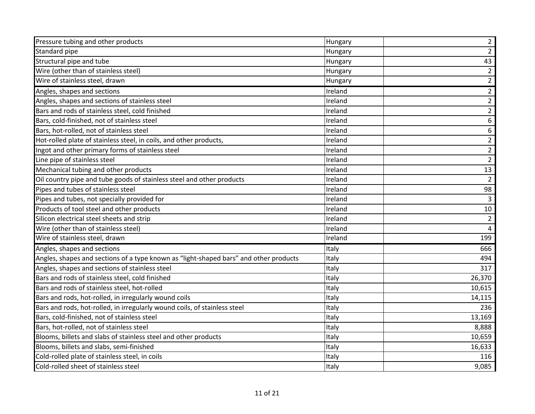| Pressure tubing and other products                                                    | Hungary | $\overline{2}$ |
|---------------------------------------------------------------------------------------|---------|----------------|
| Standard pipe                                                                         | Hungary | $\overline{2}$ |
| Structural pipe and tube                                                              | Hungary | 43             |
| Wire (other than of stainless steel)                                                  | Hungary | $\overline{2}$ |
| Wire of stainless steel, drawn                                                        | Hungary | $\overline{2}$ |
| Angles, shapes and sections                                                           | Ireland | $\overline{2}$ |
| Angles, shapes and sections of stainless steel                                        | Ireland | $\overline{2}$ |
| Bars and rods of stainless steel, cold finished                                       | Ireland | $\overline{2}$ |
| Bars, cold-finished, not of stainless steel                                           | Ireland | 6              |
| Bars, hot-rolled, not of stainless steel                                              | Ireland | $\sqrt{6}$     |
| Hot-rolled plate of stainless steel, in coils, and other products,                    | Ireland | $\overline{2}$ |
| Ingot and other primary forms of stainless steel                                      | Ireland | $\overline{2}$ |
| Line pipe of stainless steel                                                          | Ireland | $\overline{2}$ |
| Mechanical tubing and other products                                                  | Ireland | 13             |
| Oil country pipe and tube goods of stainless steel and other products                 | Ireland | $\overline{2}$ |
| Pipes and tubes of stainless steel                                                    | Ireland | 98             |
| Pipes and tubes, not specially provided for                                           | Ireland | 3              |
| Products of tool steel and other products                                             | Ireland | $10\,$         |
| Silicon electrical steel sheets and strip                                             | Ireland | $\overline{2}$ |
| Wire (other than of stainless steel)                                                  | Ireland | $\overline{4}$ |
| Wire of stainless steel, drawn                                                        | Ireland | 199            |
| Angles, shapes and sections                                                           | Italy   | 666            |
| Angles, shapes and sections of a type known as "light-shaped bars" and other products | Italy   | 494            |
| Angles, shapes and sections of stainless steel                                        | Italy   | 317            |
| Bars and rods of stainless steel, cold finished                                       | Italy   | 26,370         |
| Bars and rods of stainless steel, hot-rolled                                          | Italy   | 10,615         |
| Bars and rods, hot-rolled, in irregularly wound coils                                 | Italy   | 14,115         |
| Bars and rods, hot-rolled, in irregularly wound coils, of stainless steel             | Italy   | 236            |
| Bars, cold-finished, not of stainless steel                                           | Italy   | 13,169         |
| Bars, hot-rolled, not of stainless steel                                              | Italy   | 8,888          |
| Blooms, billets and slabs of stainless steel and other products                       | Italy   | 10,659         |
| Blooms, billets and slabs, semi-finished                                              | Italy   | 16,633         |
| Cold-rolled plate of stainless steel, in coils                                        | Italy   | 116            |
| Cold-rolled sheet of stainless steel                                                  | Italy   | 9,085          |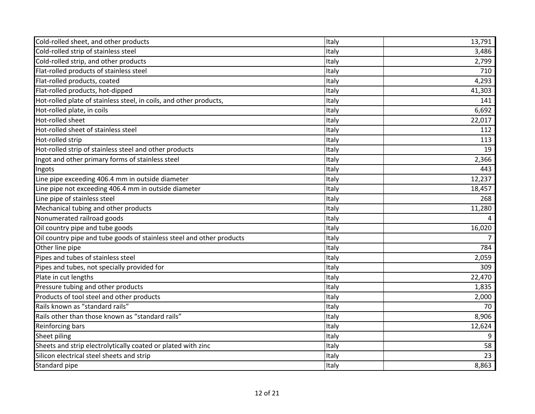| Cold-rolled sheet, and other products                                 | Italy | 13,791 |
|-----------------------------------------------------------------------|-------|--------|
| Cold-rolled strip of stainless steel                                  | Italy | 3,486  |
| Cold-rolled strip, and other products                                 | Italy | 2,799  |
| Flat-rolled products of stainless steel                               | Italy | 710    |
| Flat-rolled products, coated                                          | Italy | 4,293  |
| Flat-rolled products, hot-dipped                                      | Italy | 41,303 |
| Hot-rolled plate of stainless steel, in coils, and other products,    | Italy | 141    |
| Hot-rolled plate, in coils                                            | Italy | 6,692  |
| Hot-rolled sheet                                                      | Italy | 22,017 |
| Hot-rolled sheet of stainless steel                                   | Italy | 112    |
| Hot-rolled strip                                                      | Italy | 113    |
| Hot-rolled strip of stainless steel and other products                | Italy | 19     |
| Ingot and other primary forms of stainless steel                      | Italy | 2,366  |
| Ingots                                                                | Italy | 443    |
| Line pipe exceeding 406.4 mm in outside diameter                      | Italy | 12,237 |
| Line pipe not exceeding 406.4 mm in outside diameter                  | Italy | 18,457 |
| Line pipe of stainless steel                                          | Italy | 268    |
| Mechanical tubing and other products                                  | Italy | 11,280 |
| Nonumerated railroad goods                                            | Italy |        |
| Oil country pipe and tube goods                                       | Italy | 16,020 |
| Oil country pipe and tube goods of stainless steel and other products | Italy |        |
| Other line pipe                                                       | Italy | 784    |
| Pipes and tubes of stainless steel                                    | Italy | 2,059  |
| Pipes and tubes, not specially provided for                           | Italy | 309    |
| Plate in cut lengths                                                  | Italy | 22,470 |
| Pressure tubing and other products                                    | Italy | 1,835  |
| Products of tool steel and other products                             | Italy | 2,000  |
| Rails known as "standard rails"                                       | Italy | 70     |
| Rails other than those known as "standard rails"                      | Italy | 8,906  |
| Reinforcing bars                                                      | Italy | 12,624 |
| Sheet piling                                                          | Italy | 9      |
| Sheets and strip electrolytically coated or plated with zinc          | Italy | 58     |
| Silicon electrical steel sheets and strip                             | Italy | 23     |
| Standard pipe                                                         | Italy | 8,863  |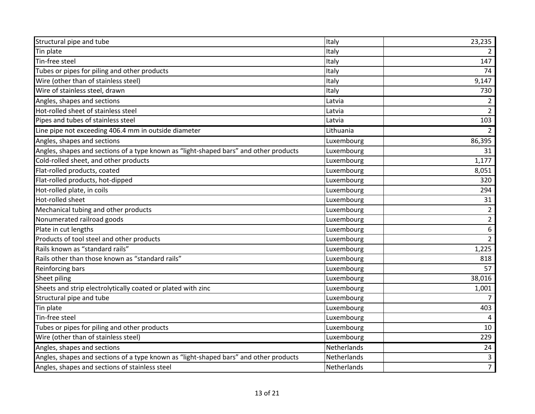| Structural pipe and tube                                                              | Italy       | 23,235         |
|---------------------------------------------------------------------------------------|-------------|----------------|
| Tin plate                                                                             | Italy       | $\mathcal{L}$  |
| Tin-free steel                                                                        | Italy       | 147            |
| Tubes or pipes for piling and other products                                          | Italy       | 74             |
| Wire (other than of stainless steel)                                                  | Italy       | 9,147          |
| Wire of stainless steel, drawn                                                        | Italy       | 730            |
| Angles, shapes and sections                                                           | Latvia      | $\overline{2}$ |
| Hot-rolled sheet of stainless steel                                                   | Latvia      | $\overline{2}$ |
| Pipes and tubes of stainless steel                                                    | Latvia      | 103            |
| Line pipe not exceeding 406.4 mm in outside diameter                                  | Lithuania   | $2^{\circ}$    |
| Angles, shapes and sections                                                           | Luxembourg  | 86,395         |
| Angles, shapes and sections of a type known as "light-shaped bars" and other products | Luxembourg  | 31             |
| Cold-rolled sheet, and other products                                                 | Luxembourg  | 1,177          |
| Flat-rolled products, coated                                                          | Luxembourg  | 8,051          |
| Flat-rolled products, hot-dipped                                                      | Luxembourg  | 320            |
| Hot-rolled plate, in coils                                                            | Luxembourg  | 294            |
| Hot-rolled sheet                                                                      | Luxembourg  | 31             |
| Mechanical tubing and other products                                                  | Luxembourg  | $\overline{2}$ |
| Nonumerated railroad goods                                                            | Luxembourg  | $\overline{2}$ |
| Plate in cut lengths                                                                  | Luxembourg  | 6              |
| Products of tool steel and other products                                             | Luxembourg  | $\overline{2}$ |
| Rails known as "standard rails"                                                       | Luxembourg  | 1,225          |
| Rails other than those known as "standard rails"                                      | Luxembourg  | 818            |
| Reinforcing bars                                                                      | Luxembourg  | 57             |
| Sheet piling                                                                          | Luxembourg  | 38,016         |
| Sheets and strip electrolytically coated or plated with zinc                          | Luxembourg  | 1,001          |
| Structural pipe and tube                                                              | Luxembourg  | 7              |
| Tin plate                                                                             | Luxembourg  | 403            |
| Tin-free steel                                                                        | Luxembourg  | 4              |
| Tubes or pipes for piling and other products                                          | Luxembourg  | 10             |
| Wire (other than of stainless steel)                                                  | Luxembourg  | 229            |
| Angles, shapes and sections                                                           | Netherlands | 24             |
| Angles, shapes and sections of a type known as "light-shaped bars" and other products | Netherlands | $\mathbf{3}$   |
| Angles, shapes and sections of stainless steel                                        | Netherlands | $\overline{7}$ |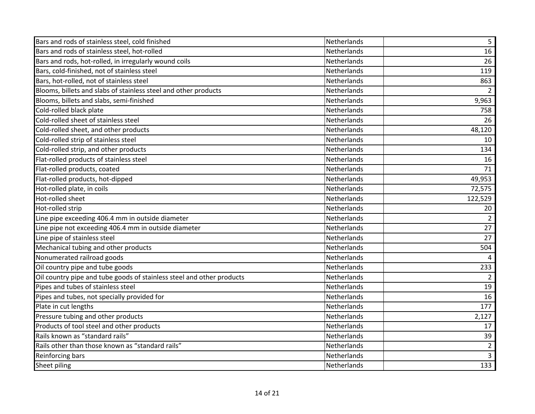| Bars and rods of stainless steel, cold finished                       | Netherlands        | 5              |
|-----------------------------------------------------------------------|--------------------|----------------|
| Bars and rods of stainless steel, hot-rolled                          | Netherlands        | 16             |
| Bars and rods, hot-rolled, in irregularly wound coils                 | Netherlands        | 26             |
| Bars, cold-finished, not of stainless steel                           | Netherlands        | 119            |
| Bars, hot-rolled, not of stainless steel                              | Netherlands        | 863            |
| Blooms, billets and slabs of stainless steel and other products       | Netherlands        | $\overline{2}$ |
| Blooms, billets and slabs, semi-finished                              | Netherlands        | 9,963          |
| Cold-rolled black plate                                               | Netherlands        | 758            |
| Cold-rolled sheet of stainless steel                                  | Netherlands        | 26             |
| Cold-rolled sheet, and other products                                 | Netherlands        | 48,120         |
| Cold-rolled strip of stainless steel                                  | Netherlands        | 10             |
| Cold-rolled strip, and other products                                 | Netherlands        | 134            |
| Flat-rolled products of stainless steel                               | <b>Netherlands</b> | 16             |
| Flat-rolled products, coated                                          | Netherlands        | 71             |
| Flat-rolled products, hot-dipped                                      | Netherlands        | 49,953         |
| Hot-rolled plate, in coils                                            | Netherlands        | 72,575         |
| Hot-rolled sheet                                                      | Netherlands        | 122,529        |
| Hot-rolled strip                                                      | Netherlands        | 20             |
| Line pipe exceeding 406.4 mm in outside diameter                      | Netherlands        | $\overline{2}$ |
| Line pipe not exceeding 406.4 mm in outside diameter                  | Netherlands        | 27             |
| Line pipe of stainless steel                                          | Netherlands        | 27             |
| Mechanical tubing and other products                                  | Netherlands        | 504            |
| Nonumerated railroad goods                                            | Netherlands        | $\overline{a}$ |
| Oil country pipe and tube goods                                       | Netherlands        | 233            |
| Oil country pipe and tube goods of stainless steel and other products | Netherlands        | $\overline{2}$ |
| Pipes and tubes of stainless steel                                    | Netherlands        | 19             |
| Pipes and tubes, not specially provided for                           | Netherlands        | 16             |
| Plate in cut lengths                                                  | Netherlands        | 177            |
| Pressure tubing and other products                                    | Netherlands        | 2,127          |
| Products of tool steel and other products                             | Netherlands        | 17             |
| Rails known as "standard rails"                                       | Netherlands        | 39             |
| Rails other than those known as "standard rails"                      | Netherlands        | $\overline{2}$ |
| Reinforcing bars                                                      | Netherlands        | $\mathbf{3}$   |
| Sheet piling                                                          | Netherlands        | 133            |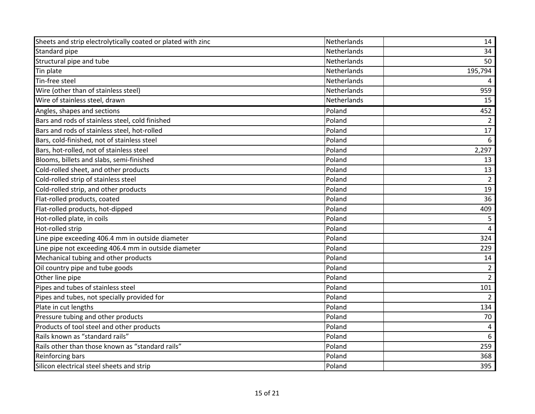| Sheets and strip electrolytically coated or plated with zinc | Netherlands | 14             |
|--------------------------------------------------------------|-------------|----------------|
| Standard pipe                                                | Netherlands | 34             |
| Structural pipe and tube                                     | Netherlands | 50             |
| Tin plate                                                    | Netherlands | 195,794        |
| Tin-free steel                                               | Netherlands |                |
| Wire (other than of stainless steel)                         | Netherlands | 959            |
| Wire of stainless steel, drawn                               | Netherlands | 15             |
| Angles, shapes and sections                                  | Poland      | 452            |
| Bars and rods of stainless steel, cold finished              | Poland      | $\overline{2}$ |
| Bars and rods of stainless steel, hot-rolled                 | Poland      | 17             |
| Bars, cold-finished, not of stainless steel                  | Poland      | 6              |
| Bars, hot-rolled, not of stainless steel                     | Poland      | 2,297          |
| Blooms, billets and slabs, semi-finished                     | Poland      | 13             |
| Cold-rolled sheet, and other products                        | Poland      | 13             |
| Cold-rolled strip of stainless steel                         | Poland      | $\overline{2}$ |
| Cold-rolled strip, and other products                        | Poland      | 19             |
| Flat-rolled products, coated                                 | Poland      | 36             |
| Flat-rolled products, hot-dipped                             | Poland      | 409            |
| Hot-rolled plate, in coils                                   | Poland      | 5              |
| Hot-rolled strip                                             | Poland      | 4              |
| Line pipe exceeding 406.4 mm in outside diameter             | Poland      | 324            |
| Line pipe not exceeding 406.4 mm in outside diameter         | Poland      | 229            |
| Mechanical tubing and other products                         | Poland      | 14             |
| Oil country pipe and tube goods                              | Poland      | $\overline{2}$ |
| Other line pipe                                              | Poland      | $2^{\circ}$    |
| Pipes and tubes of stainless steel                           | Poland      | 101            |
| Pipes and tubes, not specially provided for                  | Poland      | 2              |
| Plate in cut lengths                                         | Poland      | 134            |
| Pressure tubing and other products                           | Poland      | 70             |
| Products of tool steel and other products                    | Poland      | 4              |
| Rails known as "standard rails"                              | Poland      | 6              |
| Rails other than those known as "standard rails"             | Poland      | 259            |
| Reinforcing bars                                             | Poland      | 368            |
| Silicon electrical steel sheets and strip                    | Poland      | 395            |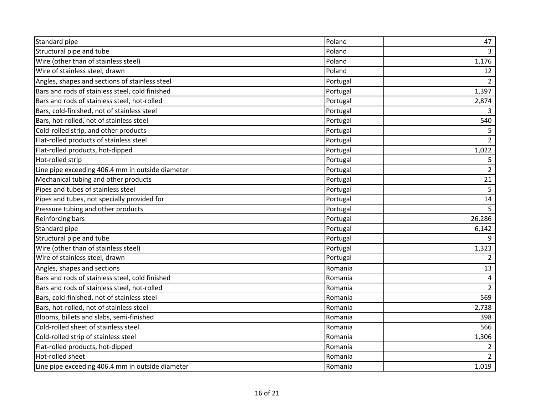| Standard pipe                                    | Poland   | 47             |
|--------------------------------------------------|----------|----------------|
| Structural pipe and tube                         | Poland   | $\overline{3}$ |
| Wire (other than of stainless steel)             | Poland   | 1,176          |
| Wire of stainless steel, drawn                   | Poland   | 12             |
| Angles, shapes and sections of stainless steel   | Portugal | $\overline{2}$ |
| Bars and rods of stainless steel, cold finished  | Portugal | 1,397          |
| Bars and rods of stainless steel, hot-rolled     | Portugal | 2,874          |
| Bars, cold-finished, not of stainless steel      | Portugal | $\overline{3}$ |
| Bars, hot-rolled, not of stainless steel         | Portugal | 540            |
| Cold-rolled strip, and other products            | Portugal | 5              |
| Flat-rolled products of stainless steel          | Portugal | $\overline{2}$ |
| Flat-rolled products, hot-dipped                 | Portugal | 1,022          |
| Hot-rolled strip                                 | Portugal | 5              |
| Line pipe exceeding 406.4 mm in outside diameter | Portugal | $\overline{2}$ |
| Mechanical tubing and other products             | Portugal | 21             |
| Pipes and tubes of stainless steel               | Portugal | $\overline{5}$ |
| Pipes and tubes, not specially provided for      | Portugal | 14             |
| Pressure tubing and other products               | Portugal | 5 <sup>5</sup> |
| Reinforcing bars                                 | Portugal | 26,286         |
| Standard pipe                                    | Portugal | 6,142          |
| Structural pipe and tube                         | Portugal | 9              |
| Wire (other than of stainless steel)             | Portugal | 1,323          |
| Wire of stainless steel, drawn                   | Portugal | $\overline{2}$ |
| Angles, shapes and sections                      | Romania  | 13             |
| Bars and rods of stainless steel, cold finished  | Romania  | $\sqrt{4}$     |
| Bars and rods of stainless steel, hot-rolled     | Romania  | $\overline{2}$ |
| Bars, cold-finished, not of stainless steel      | Romania  | 569            |
| Bars, hot-rolled, not of stainless steel         | Romania  | 2,738          |
| Blooms, billets and slabs, semi-finished         | Romania  | 398            |
| Cold-rolled sheet of stainless steel             | Romania  | 566            |
| Cold-rolled strip of stainless steel             | Romania  | 1,306          |
| Flat-rolled products, hot-dipped                 | Romania  | $\overline{2}$ |
| Hot-rolled sheet                                 | Romania  | $\overline{2}$ |
| Line pipe exceeding 406.4 mm in outside diameter | Romania  | 1,019          |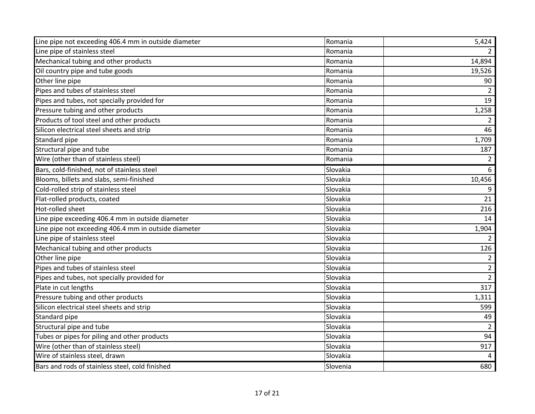| Line pipe not exceeding 406.4 mm in outside diameter | Romania  | 5,424          |
|------------------------------------------------------|----------|----------------|
| Line pipe of stainless steel                         | Romania  | $\mathcal{L}$  |
| Mechanical tubing and other products                 | Romania  | 14,894         |
| Oil country pipe and tube goods                      | Romania  | 19,526         |
| Other line pipe                                      | Romania  | 90             |
| Pipes and tubes of stainless steel                   | Romania  | $\overline{2}$ |
| Pipes and tubes, not specially provided for          | Romania  | 19             |
| Pressure tubing and other products                   | Romania  | 1,258          |
| Products of tool steel and other products            | Romania  | $\overline{2}$ |
| Silicon electrical steel sheets and strip            | Romania  | 46             |
| Standard pipe                                        | Romania  | 1,709          |
| Structural pipe and tube                             | Romania  | 187            |
| Wire (other than of stainless steel)                 | Romania  | $\overline{2}$ |
| Bars, cold-finished, not of stainless steel          | Slovakia | 6              |
| Blooms, billets and slabs, semi-finished             | Slovakia | 10,456         |
| Cold-rolled strip of stainless steel                 | Slovakia | 9              |
| Flat-rolled products, coated                         | Slovakia | 21             |
| Hot-rolled sheet                                     | Slovakia | 216            |
| Line pipe exceeding 406.4 mm in outside diameter     | Slovakia | 14             |
| Line pipe not exceeding 406.4 mm in outside diameter | Slovakia | 1,904          |
| Line pipe of stainless steel                         | Slovakia | $\overline{2}$ |
| Mechanical tubing and other products                 | Slovakia | 126            |
| Other line pipe                                      | Slovakia | $\overline{2}$ |
| Pipes and tubes of stainless steel                   | Slovakia | $\overline{2}$ |
| Pipes and tubes, not specially provided for          | Slovakia | $\overline{2}$ |
| Plate in cut lengths                                 | Slovakia | 317            |
| Pressure tubing and other products                   | Slovakia | 1,311          |
| Silicon electrical steel sheets and strip            | Slovakia | 599            |
| Standard pipe                                        | Slovakia | 49             |
| Structural pipe and tube                             | Slovakia | $\overline{2}$ |
| Tubes or pipes for piling and other products         | Slovakia | 94             |
| Wire (other than of stainless steel)                 | Slovakia | 917            |
| Wire of stainless steel, drawn                       | Slovakia | 4              |
| Bars and rods of stainless steel, cold finished      | Slovenia | 680            |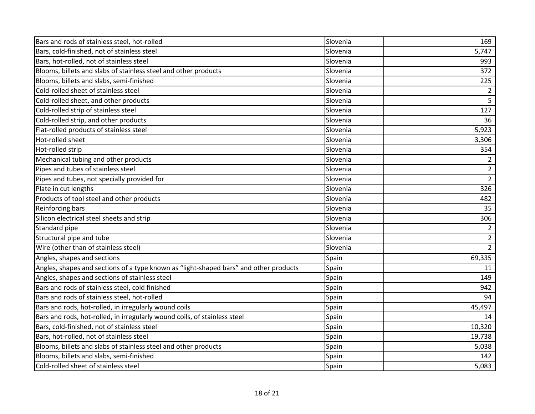| Bars and rods of stainless steel, hot-rolled                                          | Slovenia | 169            |
|---------------------------------------------------------------------------------------|----------|----------------|
| Bars, cold-finished, not of stainless steel                                           | Slovenia | 5,747          |
| Bars, hot-rolled, not of stainless steel                                              | Slovenia | 993            |
| Blooms, billets and slabs of stainless steel and other products                       | Slovenia | 372            |
| Blooms, billets and slabs, semi-finished                                              | Slovenia | 225            |
| Cold-rolled sheet of stainless steel                                                  | Slovenia | $\overline{2}$ |
| Cold-rolled sheet, and other products                                                 | Slovenia | 5              |
| Cold-rolled strip of stainless steel                                                  | Slovenia | 127            |
| Cold-rolled strip, and other products                                                 | Slovenia | 36             |
| Flat-rolled products of stainless steel                                               | Slovenia | 5,923          |
| Hot-rolled sheet                                                                      | Slovenia | 3,306          |
| Hot-rolled strip                                                                      | Slovenia | 354            |
| Mechanical tubing and other products                                                  | Slovenia | $\overline{2}$ |
| Pipes and tubes of stainless steel                                                    | Slovenia | $\overline{2}$ |
| Pipes and tubes, not specially provided for                                           | Slovenia | $\overline{2}$ |
| Plate in cut lengths                                                                  | Slovenia | 326            |
| Products of tool steel and other products                                             | Slovenia | 482            |
| Reinforcing bars                                                                      | Slovenia | 35             |
| Silicon electrical steel sheets and strip                                             | Slovenia | 306            |
| Standard pipe                                                                         | Slovenia | $\overline{2}$ |
| Structural pipe and tube                                                              | Slovenia | $\overline{2}$ |
| Wire (other than of stainless steel)                                                  | Slovenia | $\overline{2}$ |
| Angles, shapes and sections                                                           | Spain    | 69,335         |
| Angles, shapes and sections of a type known as "light-shaped bars" and other products | Spain    | 11             |
| Angles, shapes and sections of stainless steel                                        | Spain    | 149            |
| Bars and rods of stainless steel, cold finished                                       | Spain    | 942            |
| Bars and rods of stainless steel, hot-rolled                                          | Spain    | 94             |
| Bars and rods, hot-rolled, in irregularly wound coils                                 | Spain    | 45,497         |
| Bars and rods, hot-rolled, in irregularly wound coils, of stainless steel             | Spain    | 14             |
| Bars, cold-finished, not of stainless steel                                           | Spain    | 10,320         |
| Bars, hot-rolled, not of stainless steel                                              | Spain    | 19,738         |
| Blooms, billets and slabs of stainless steel and other products                       | Spain    | 5,038          |
| Blooms, billets and slabs, semi-finished                                              | Spain    | 142            |
| Cold-rolled sheet of stainless steel                                                  | Spain    | 5,083          |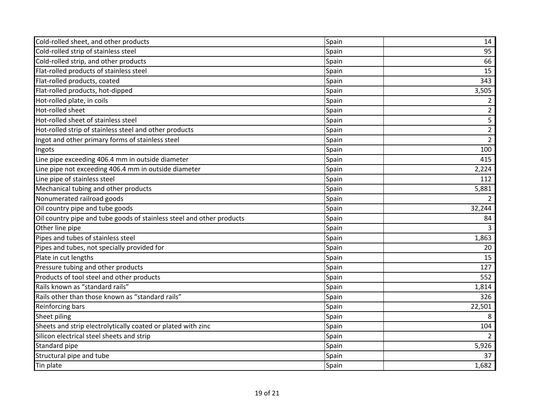| Cold-rolled sheet, and other products                                 | Spain | 14             |
|-----------------------------------------------------------------------|-------|----------------|
| Cold-rolled strip of stainless steel                                  | Spain | 95             |
| Cold-rolled strip, and other products                                 | Spain | 66             |
| Flat-rolled products of stainless steel                               | Spain | 15             |
| Flat-rolled products, coated                                          | Spain | 343            |
| Flat-rolled products, hot-dipped                                      | Spain | 3,505          |
| Hot-rolled plate, in coils                                            | Spain | $\overline{2}$ |
| Hot-rolled sheet                                                      | Spain | $\overline{2}$ |
| Hot-rolled sheet of stainless steel                                   | Spain | 5              |
| Hot-rolled strip of stainless steel and other products                | Spain | $\overline{2}$ |
| Ingot and other primary forms of stainless steel                      | Spain | $\overline{2}$ |
| Ingots                                                                | Spain | 100            |
| Line pipe exceeding 406.4 mm in outside diameter                      | Spain | 415            |
| Line pipe not exceeding 406.4 mm in outside diameter                  | Spain | 2,224          |
| Line pipe of stainless steel                                          | Spain | 112            |
| Mechanical tubing and other products                                  | Spain | 5,881          |
| Nonumerated railroad goods                                            | Spain | 2              |
| Oil country pipe and tube goods                                       | Spain | 32,244         |
| Oil country pipe and tube goods of stainless steel and other products | Spain | 84             |
| Other line pipe                                                       | Spain | 3              |
| Pipes and tubes of stainless steel                                    | Spain | 1,863          |
| Pipes and tubes, not specially provided for                           | Spain | 20             |
| Plate in cut lengths                                                  | Spain | 15             |
| Pressure tubing and other products                                    | Spain | 127            |
| Products of tool steel and other products                             | Spain | 552            |
| Rails known as "standard rails"                                       | Spain | 1,814          |
| Rails other than those known as "standard rails"                      | Spain | 326            |
| Reinforcing bars                                                      | Spain | 22,501         |
| Sheet piling                                                          | Spain | 8              |
| Sheets and strip electrolytically coated or plated with zinc          | Spain | 104            |
| Silicon electrical steel sheets and strip                             | Spain |                |
| Standard pipe                                                         | Spain | 5,926          |
| Structural pipe and tube                                              | Spain | 37             |
| Tin plate                                                             | Spain | 1,682          |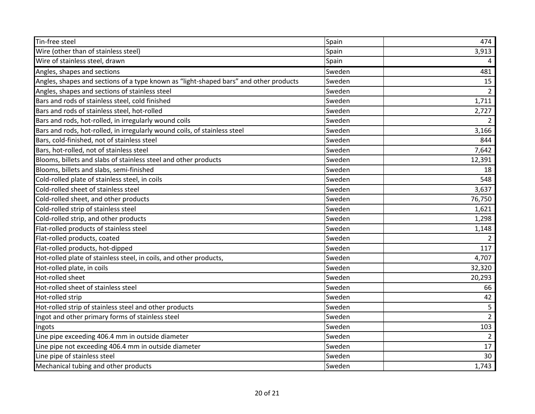| Tin-free steel                                                                        | Spain  | 474            |
|---------------------------------------------------------------------------------------|--------|----------------|
| Wire (other than of stainless steel)                                                  | Spain  | 3,913          |
| Wire of stainless steel, drawn                                                        | Spain  |                |
| Angles, shapes and sections                                                           | Sweden | 481            |
| Angles, shapes and sections of a type known as "light-shaped bars" and other products | Sweden | 15             |
| Angles, shapes and sections of stainless steel                                        | Sweden | $\overline{2}$ |
| Bars and rods of stainless steel, cold finished                                       | Sweden | 1,711          |
| Bars and rods of stainless steel, hot-rolled                                          | Sweden | 2,727          |
| Bars and rods, hot-rolled, in irregularly wound coils                                 | Sweden |                |
| Bars and rods, hot-rolled, in irregularly wound coils, of stainless steel             | Sweden | 3,166          |
| Bars, cold-finished, not of stainless steel                                           | Sweden | 844            |
| Bars, hot-rolled, not of stainless steel                                              | Sweden | 7,642          |
| Blooms, billets and slabs of stainless steel and other products                       | Sweden | 12,391         |
| Blooms, billets and slabs, semi-finished                                              | Sweden | 18             |
| Cold-rolled plate of stainless steel, in coils                                        | Sweden | 548            |
| Cold-rolled sheet of stainless steel                                                  | Sweden | 3,637          |
| Cold-rolled sheet, and other products                                                 | Sweden | 76,750         |
| Cold-rolled strip of stainless steel                                                  | Sweden | 1,621          |
| Cold-rolled strip, and other products                                                 | Sweden | 1,298          |
| Flat-rolled products of stainless steel                                               | Sweden | 1,148          |
| Flat-rolled products, coated                                                          | Sweden | 2              |
| Flat-rolled products, hot-dipped                                                      | Sweden | 117            |
| Hot-rolled plate of stainless steel, in coils, and other products,                    | Sweden | 4,707          |
| Hot-rolled plate, in coils                                                            | Sweden | 32,320         |
| Hot-rolled sheet                                                                      | Sweden | 20,293         |
| Hot-rolled sheet of stainless steel                                                   | Sweden | 66             |
| Hot-rolled strip                                                                      | Sweden | 42             |
| Hot-rolled strip of stainless steel and other products                                | Sweden | 5              |
| Ingot and other primary forms of stainless steel                                      | Sweden | $\overline{2}$ |
| Ingots                                                                                | Sweden | 103            |
| Line pipe exceeding 406.4 mm in outside diameter                                      | Sweden | $\overline{2}$ |
| Line pipe not exceeding 406.4 mm in outside diameter                                  | Sweden | 17             |
| Line pipe of stainless steel                                                          | Sweden | 30             |
| Mechanical tubing and other products                                                  | Sweden | 1,743          |